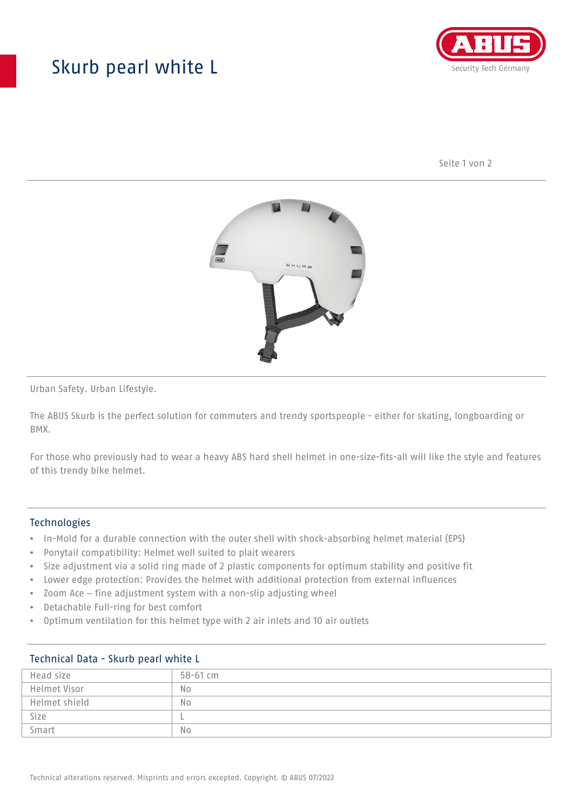## Skurb pearl white L



Seite 1 von 2



Urban Safety. Urban Lifestyle.

The ABUS Skurb is the perfect solution for commuters and trendy sportspeople - either for skating, longboarding or BMX.

For those who previously had to wear a heavy ABS hard shell helmet in one-size-fits-all will like the style and features of this trendy bike helmet.

#### Technologies

- In-Mold for a durable connection with the outer shell with shock-absorbing helmet material (EPS)
- Ponytail compatibility: Helmet well suited to plait wearers
- Size adjustment via a solid ring made of 2 plastic components for optimum stability and positive fit
- Lower edge protection: Provides the helmet with additional protection from external influences
- Zoom Ace fine adjustment system with a non-slip adjusting wheel
- Detachable Full-ring for best comfort
- Optimum ventilation for this helmet type with 2 air inlets and 10 air outlets

| Technical Data - Skurb pearl while L |                |
|--------------------------------------|----------------|
| Head size                            | 58-61 cm       |
| Helmet Visor                         | N <sub>0</sub> |
| Helmet shield                        | N <sub>o</sub> |
| Size                                 |                |
| Smart                                | N <sub>0</sub> |

## Technical Data - Skurb pearl white L